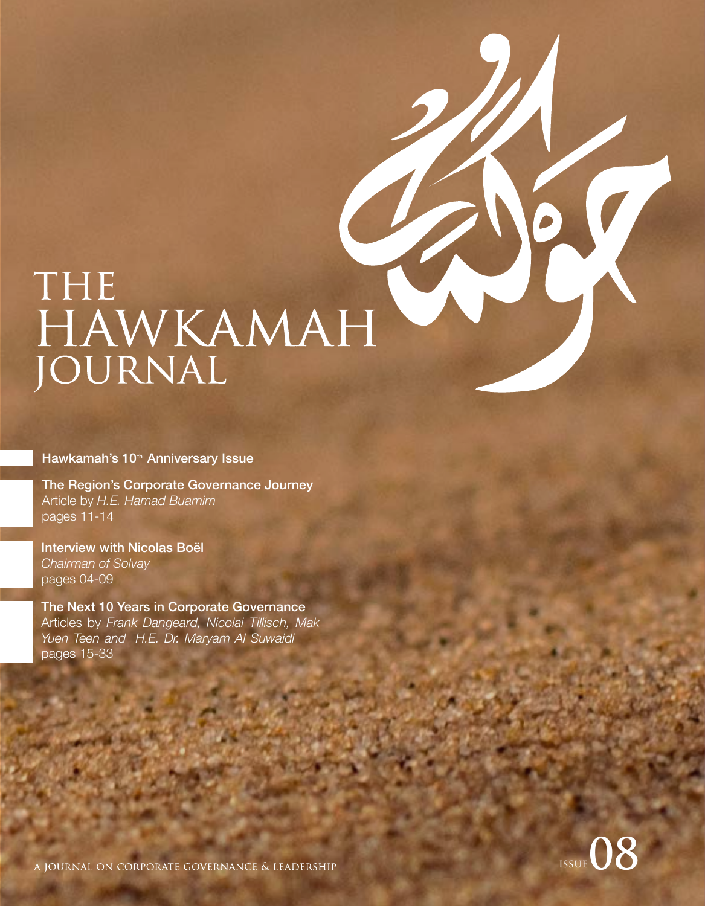# THE HAWKAMAH

Hawkamah's 10<sup>th</sup> Anniversary Issue

The Region's Corporate Governance Journey Article by *H.E. Hamad Buamim* pages 11-14

Interview with Nicolas Boël *Chairman of Solvay* pages 04-09

The Next 10 Years in Corporate Governance Articles by *Frank Dangeard, Nicolai Tillisch, Mak Yuen Teen and H.E. Dr. Maryam Al Suwaidi* pages 15-33



A JOURNAL ON CORPORATE GOVERNANCE & LEADERSHIP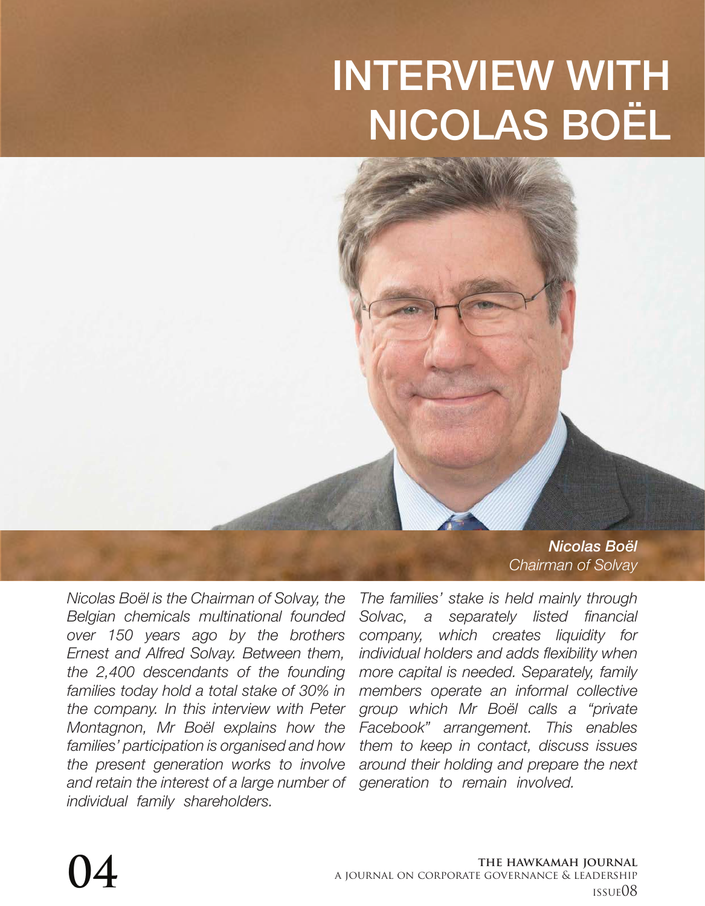# INTERVIEW WITH NICOLAS BOËL

*Nicolas Boël Chairman of Solvay* 

*Nicolas Boël is the Chairman of Solvay, the Belgian chemicals multinational founded over 150 years ago by the brothers Ernest and Alfred Solvay. Between them, the 2,400 descendants of the founding families today hold a total stake of 30% in the company. In this interview with Peter Montagnon, Mr Boël explains how the families' participation is organised and how the present generation works to involve and retain the interest of a large number of individual family shareholders.* 

*The families' stake is held mainly through Solvac, a separately listed financial company, which creates liquidity for individual holders and adds flexibility when more capital is needed. Separately, family members operate an informal collective group which Mr Boël calls a "private Facebook" arrangement. This enables them to keep in contact, discuss issues around their holding and prepare the next generation to remain involved.*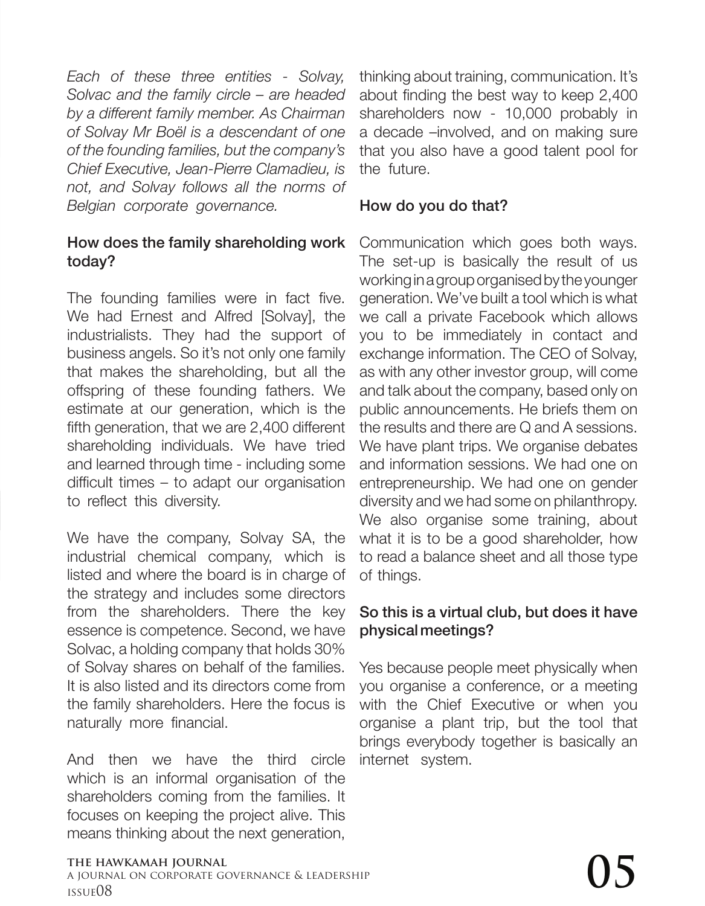*Each of these three entities - Solvay, Solvac and the family circle – are headed by a different family member. As Chairman of Solvay Mr Boël is a descendant of one of the founding families, but the company's Chief Executive, Jean-Pierre Clamadieu, is not, and Solvay follows all the norms of Belgian corporate governance.*

#### How does the family shareholding work today?

The founding families were in fact five. We had Ernest and Alfred [Solvay], the industrialists. They had the support of business angels. So it's not only one family that makes the shareholding, but all the offspring of these founding fathers. We estimate at our generation, which is the fifth generation, that we are 2,400 different shareholding individuals. We have tried and learned through time - including some difficult times – to adapt our organisation to reflect this diversity.

We have the company, Solvay SA, the industrial chemical company, which is listed and where the board is in charge of the strategy and includes some directors from the shareholders. There the key essence is competence. Second, we have Solvac, a holding company that holds 30% of Solvay shares on behalf of the families. It is also listed and its directors come from the family shareholders. Here the focus is naturally more financial.

And then we have the third circle which is an informal organisation of the shareholders coming from the families. It focuses on keeping the project alive. This means thinking about the next generation,

thinking about training, communication. It's about finding the best way to keep 2,400 shareholders now - 10,000 probably in a decade –involved, and on making sure that you also have a good talent pool for the future.

#### How do you do that?

Communication which goes both ways. The set-up is basically the result of us working in a group organised by the younger generation. We've built a tool which is what we call a private Facebook which allows you to be immediately in contact and exchange information. The CEO of Solvay, as with any other investor group, will come and talk about the company, based only on public announcements. He briefs them on the results and there are Q and A sessions. We have plant trips. We organise debates and information sessions. We had one on entrepreneurship. We had one on gender diversity and we had some on philanthropy. We also organise some training, about what it is to be a good shareholder, how to read a balance sheet and all those type of things.

#### So this is a virtual club, but does it have physical meetings?

Yes because people meet physically when you organise a conference, or a meeting with the Chief Executive or when you organise a plant trip, but the tool that brings everybody together is basically an internet system.

#### **the hawkamah journal**

a journal on corporate governance & leadership The hawkamah journal<br>a journal on corporate governance & leadership<br>issue08  $\rm\,O5$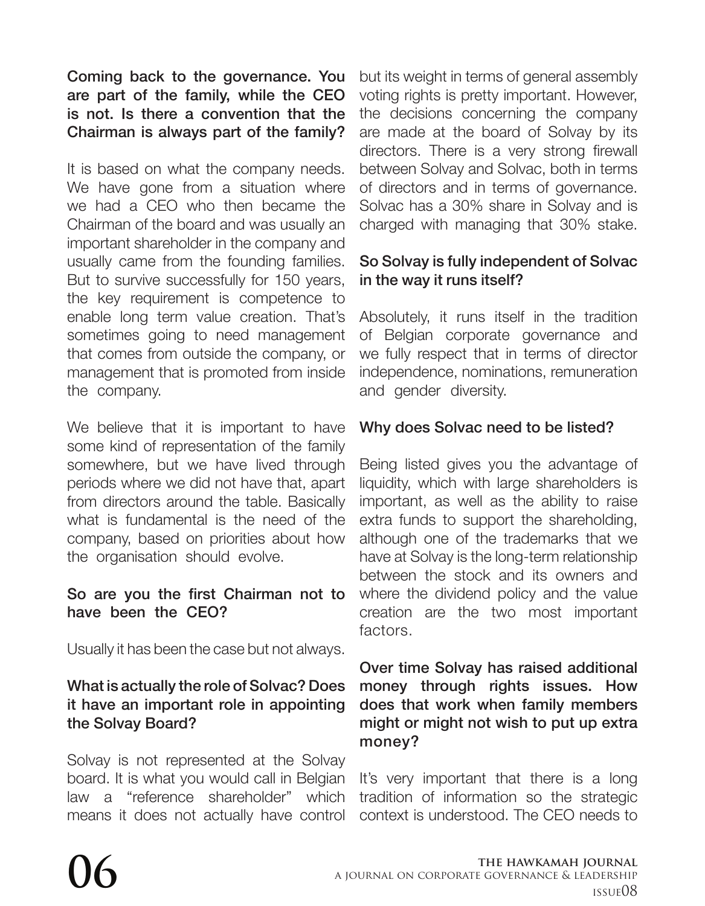Coming back to the governance. You are part of the family, while the CEO is not. Is there a convention that the Chairman is always part of the family?

It is based on what the company needs. We have gone from a situation where we had a CEO who then became the Chairman of the board and was usually an important shareholder in the company and usually came from the founding families. But to survive successfully for 150 years, the key requirement is competence to enable long term value creation. That's sometimes going to need management that comes from outside the company, or management that is promoted from inside the company.

We believe that it is important to have some kind of representation of the family somewhere, but we have lived through periods where we did not have that, apart from directors around the table. Basically what is fundamental is the need of the company, based on priorities about how the organisation should evolve.

#### So are you the first Chairman not to have been the CEO?

Usually it has been the case but not always.

#### What is actually the role of Solvac? Does it have an important role in appointing the Solvay Board?

Solvay is not represented at the Solvay board. It is what you would call in Belgian law a "reference shareholder" which means it does not actually have control

but its weight in terms of general assembly voting rights is pretty important. However, the decisions concerning the company are made at the board of Solvay by its directors. There is a very strong firewall between Solvay and Solvac, both in terms of directors and in terms of governance. Solvac has a 30% share in Solvay and is charged with managing that 30% stake.

## So Solvay is fully independent of Solvac in the way it runs itself?

Absolutely, it runs itself in the tradition of Belgian corporate governance and we fully respect that in terms of director independence, nominations, remuneration and gender diversity.

# Why does Solvac need to be listed?

Being listed gives you the advantage of liquidity, which with large shareholders is important, as well as the ability to raise extra funds to support the shareholding, although one of the trademarks that we have at Solvay is the long-term relationship between the stock and its owners and where the dividend policy and the value creation are the two most important factors.

#### Over time Solvay has raised additional money through rights issues. How does that work when family members might or might not wish to put up extra money?

It's very important that there is a long tradition of information so the strategic context is understood. The CEO needs to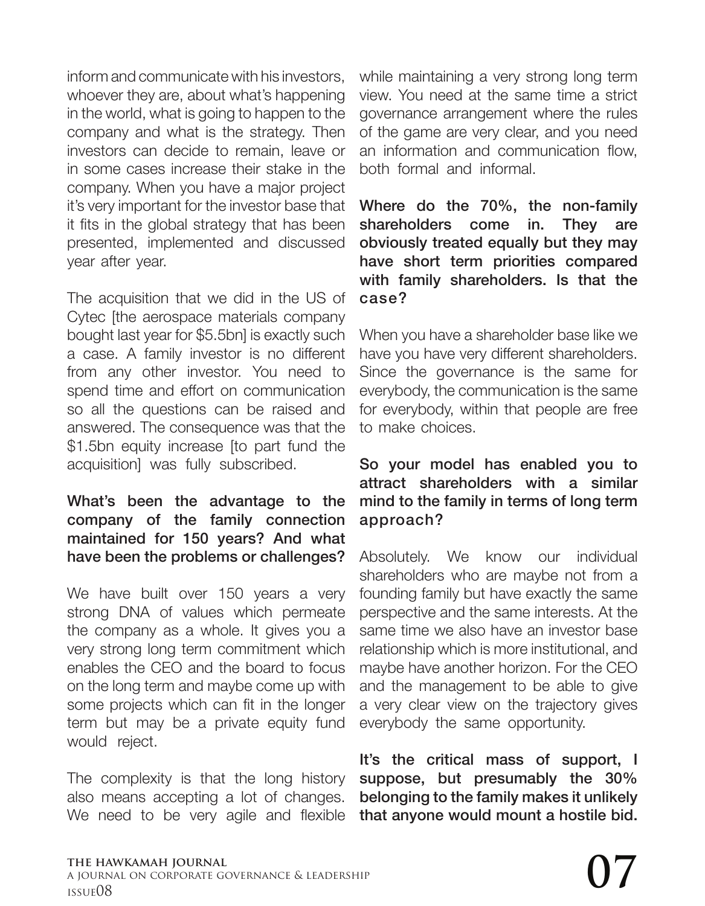inform and communicate with his investors, whoever they are, about what's happening in the world, what is going to happen to the company and what is the strategy. Then investors can decide to remain, leave or in some cases increase their stake in the company. When you have a major project it's very important for the investor base that it fits in the global strategy that has been presented, implemented and discussed year after year.

The acquisition that we did in the US of Cytec [the aerospace materials company bought last year for \$5.5bn] is exactly such a case. A family investor is no different from any other investor. You need to spend time and effort on communication so all the questions can be raised and answered. The consequence was that the \$1.5bn equity increase [to part fund the acquisition] was fully subscribed.

What's been the advantage to the company of the family connection maintained for 150 years? And what have been the problems or challenges?

We have built over 150 years a very strong DNA of values which permeate the company as a whole. It gives you a very strong long term commitment which enables the CEO and the board to focus on the long term and maybe come up with some projects which can fit in the longer term but may be a private equity fund would reject.

The complexity is that the long history also means accepting a lot of changes. We need to be very agile and flexible

while maintaining a very strong long term view. You need at the same time a strict governance arrangement where the rules of the game are very clear, and you need an information and communication flow, both formal and informal.

Where do the 70%, the non-family shareholders come in. They are obviously treated equally but they may have short term priorities compared with family shareholders. Is that the case?

When you have a shareholder base like we have you have very different shareholders. Since the governance is the same for everybody, the communication is the same for everybody, within that people are free to make choices.

#### So your model has enabled you to attract shareholders with a similar mind to the family in terms of long term approach?

Absolutely. We know our individual shareholders who are maybe not from a founding family but have exactly the same perspective and the same interests. At the same time we also have an investor base relationship which is more institutional, and maybe have another horizon. For the CEO and the management to be able to give a very clear view on the trajectory gives everybody the same opportunity.

It's the critical mass of support, I suppose, but presumably the 30% belonging to the family makes it unlikely that anyone would mount a hostile bid.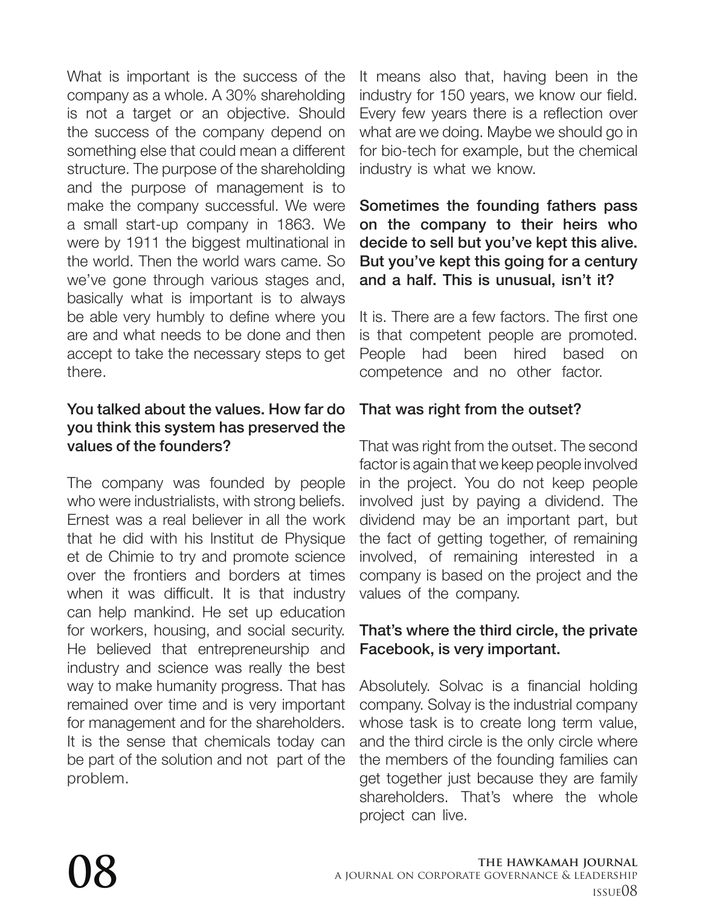What is important is the success of the company as a whole. A 30% shareholding is not a target or an objective. Should the success of the company depend on something else that could mean a different structure. The purpose of the shareholding and the purpose of management is to make the company successful. We were a small start-up company in 1863. We were by 1911 the biggest multinational in the world. Then the world wars came. So we've gone through various stages and, basically what is important is to always be able very humbly to define where you are and what needs to be done and then accept to take the necessary steps to get there.

#### You talked about the values. How far do you think this system has preserved the values of the founders?

The company was founded by people who were industrialists, with strong beliefs. Ernest was a real believer in all the work that he did with his Institut de Physique et de Chimie to try and promote science over the frontiers and borders at times when it was difficult. It is that industry can help mankind. He set up education for workers, housing, and social security. He believed that entrepreneurship and industry and science was really the best way to make humanity progress. That has remained over time and is very important for management and for the shareholders. It is the sense that chemicals today can be part of the solution and not part of the problem.

It means also that, having been in the industry for 150 years, we know our field. Every few years there is a reflection over what are we doing. Maybe we should go in for bio-tech for example, but the chemical industry is what we know.

#### Sometimes the founding fathers pass on the company to their heirs who decide to sell but you've kept this alive. But you've kept this going for a century and a half. This is unusual, isn't it?

It is. There are a few factors. The first one is that competent people are promoted. People had been hired based on competence and no other factor.

# That was right from the outset?

That was right from the outset. The second factor is again that we keep people involved in the project. You do not keep people involved just by paying a dividend. The dividend may be an important part, but the fact of getting together, of remaining involved, of remaining interested in a company is based on the project and the values of the company.

## That's where the third circle, the private Facebook, is very important.

Absolutely. Solvac is a financial holding company. Solvay is the industrial company whose task is to create long term value, and the third circle is the only circle where the members of the founding families can get together just because they are family shareholders. That's where the whole project can live.